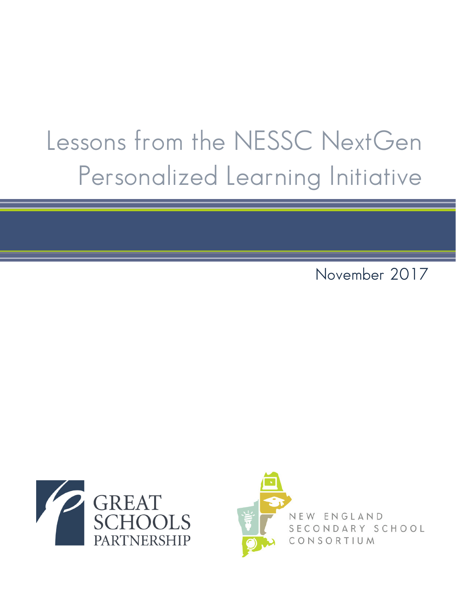# Lessons from the NESSC NextGen Personalized Learning Initiative

November 2017



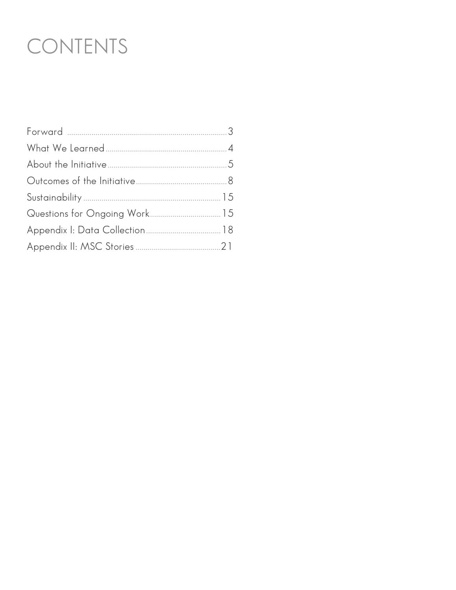## CONTENTS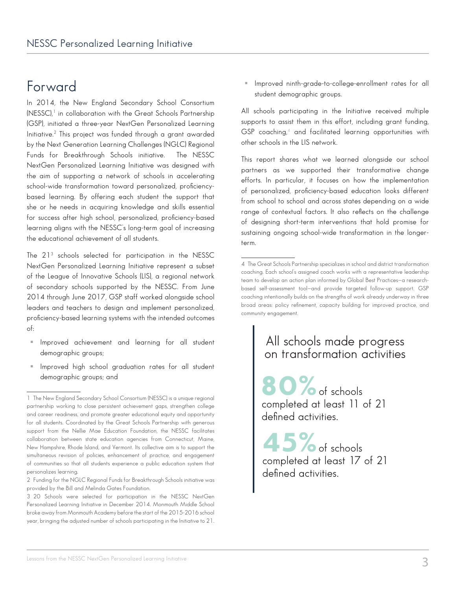### Forward

In 2014, the New England Secondary School Consortium (NESSC),<sup>1</sup> in collaboration with the Great Schools Partnership (GSP), initiated a three-year NextGen Personalized Learning Initiative.2 This project was funded through a grant awarded by the Next Generation Learning Challenges (NGLC) Regional Funds for Breakthrough Schools initiative. The NESSC NextGen Personalized Learning Initiative was designed with the aim of supporting a network of schools in accelerating school-wide transformation toward personalized, proficiencybased learning. By offering each student the support that she or he needs in acquiring knowledge and skills essential for success after high school, personalized, proficiency-based learning aligns with the NESSC's long-term goal of increasing the educational achievement of all students.

The 213 schools selected for participation in the NESSC NextGen Personalized Learning Initiative represent a subset of the League of Innovative Schools (LIS), a regional network of secondary schools supported by the NESSC. From June 2014 through June 2017, GSP staff worked alongside school leaders and teachers to design and implement personalized, proficiency-based learning systems with the intended outcomes of:

- Improved achievement and learning for all student demographic groups;
- **Improved high school graduation rates for all student** demographic groups; and

 Improved ninth-grade-to-college-enrollment rates for all student demographic groups.

All schools participating in the Initiative received multiple supports to assist them in this effort, including grant funding,  $GSP$  coaching, $4$  and facilitated learning opportunities with other schools in the LIS network.

This report shares what we learned alongside our school partners as we supported their transformative change efforts. In particular, it focuses on how the implementation of personalized, proficiency-based education looks different from school to school and across states depending on a wide range of contextual factors. It also reflects on the challenge of designing short-term interventions that hold promise for sustaining ongoing school-wide transformation in the longerterm.

### All schools made progress on transformation activities

80% of schools completed at least 11 of 21 defined activities.

45%of schools completed at least 17 of 21 defined activities.

<sup>1</sup> The New England Secondary School Consortium (NESSC) is a unique regional partnership working to close persistent achievement gaps, strengthen college and career readiness, and promote greater educational equity and opportunity for all students. Coordinated by the Great Schools Partnership with generous support from the Nellie Mae Education Foundation, the NESSC facilitates collaboration between state education agencies from Connecticut, Maine, New Hampshire, Rhode Island, and Vermont. Its collective aim is to support the simultaneous revision of policies, enhancement of practice, and engagement of communities so that all students experience a public education system that personalizes learning.

<sup>2</sup> Funding for the NGLC Regional Funds for Breakthrough Schools initiative was provided by the Bill and Melinda Gates Foundation.

<sup>3</sup> 20 Schools were selected for participation in the NESSC NextGen Personalized Learning Initiative in December 2014. Monmouth Middle School broke away from Monmouth Academy before the start of the 2015-2016 school year, bringing the adjusted number of schools participating in the Initiative to 21.

<sup>4</sup> The Great Schools Partnership specializes in school and district transformation coaching. Each school's assigned coach works with a representative leadership team to develop an action plan informed by Global Best Practices—a researchbased self-assessment tool—and provide targeted follow-up support. GSP coaching intentionally builds on the strengths of work already underway in three broad areas: policy refinement, capacity building for improved practice, and community engagement.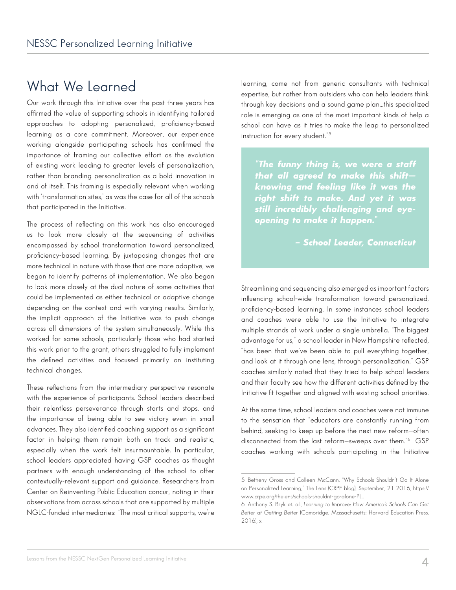### What We Learned

Our work through this Initiative over the past three years has affirmed the value of supporting schools in identifying tailored approaches to adopting personalized, proficiency-based learning as a core commitment. Moreover, our experience working alongside participating schools has confirmed the importance of framing our collective effort as the evolution of existing work leading to greater levels of personalization, rather than branding personalization as a bold innovation in and of itself. This framing is especially relevant when working with 'transformation sites,' as was the case for all of the schools that participated in the Initiative.

The process of reflecting on this work has also encouraged us to look more closely at the sequencing of activities encompassed by school transformation toward personalized, proficiency-based learning. By juxtaposing changes that are more technical in nature with those that are more adaptive, we began to identify patterns of implementation. We also began to look more closely at the dual nature of some activities that could be implemented as either technical or adaptive change depending on the context and with varying results. Similarly, the implicit approach of the Initiative was to push change across all dimensions of the system simultaneously. While this worked for some schools, particularly those who had started this work prior to the grant, others struggled to fully implement the defined activities and focused primarily on instituting technical changes.

These reflections from the intermediary perspective resonate with the experience of participants. School leaders described their relentless perseverance through starts and stops, and the importance of being able to see victory even in small advances. They also identified coaching support as a significant factor in helping them remain both on track and realistic, especially when the work felt insurmountable. In particular, school leaders appreciated having GSP coaches as thought partners with enough understanding of the school to offer contextually-relevant support and guidance. Researchers from Center on Reinventing Public Education concur, noting in their observations from across schools that are supported by multiple NGLC-funded intermediaries: "The most critical supports, we're learning, come not from generic consultants with technical expertise, but rather from outsiders who can help leaders think through key decisions and a sound game plan…this specialized role is emerging as one of the most important kinds of help a school can have as it tries to make the leap to personalized instruction for every student."5

*"The funny thing is, we were a staff that all agreed to make this shift knowing and feeling like it was the right shift to make. And yet it was still incredibly challenging and eyeopening to make it happen."*

### *– School Leader, Connecticut*

Streamlining and sequencing also emerged as important factors influencing school-wide transformation toward personalized, proficiency-based learning. In some instances school leaders and coaches were able to use the Initiative to integrate multiple strands of work under a single umbrella. "The biggest advantage for us," a school leader in New Hampshire reflected, "has been that we've been able to pull everything together, and look at it through one lens, through personalization." GSP coaches similarly noted that they tried to help school leaders and their faculty see how the different activities defined by the Initiative fit together and aligned with existing school priorities.

At the same time, school leaders and coaches were not immune to the sensation that "educators are constantly running from behind, seeking to keep up before the next new reform—often disconnected from the last reform—sweeps over them."6 GSP coaches working with schools participating in the Initiative

<sup>5</sup> Betheny Gross and Colleen McCann, "Why Schools Shouldn't Go It Alone on Personalized Learning," The Lens (CRPE blog), September, 21 2016, https:// www.crpe.org/thelens/schools-shouldnt-go-alone-PL..

<sup>6</sup> Anthony S. Bryk et. al., *Learning to Improve: How America's Schools Can Get Better at Getting Better* (Cambridge, Massachusetts: Harvard Education Press, 2016), x.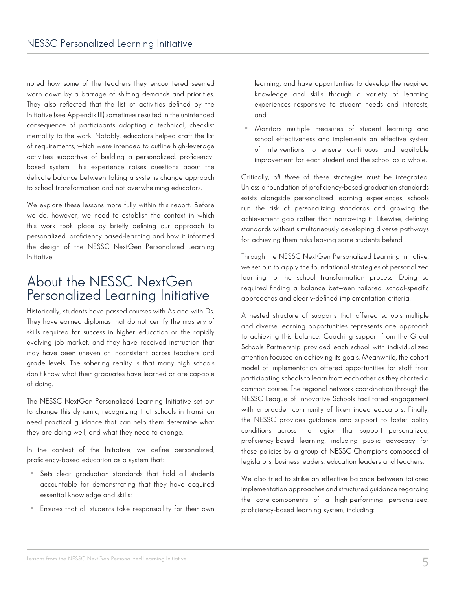noted how some of the teachers they encountered seemed worn down by a barrage of shifting demands and priorities. They also reflected that the list of activities defined by the Initiative (see Appendix III) sometimes resulted in the unintended consequence of participants adopting a technical, checklist mentality to the work. Notably, educators helped craft the list of requirements, which were intended to outline high-leverage activities supportive of building a personalized, proficiencybased system. This experience raises questions about the delicate balance between taking a systems change approach to school transformation and not overwhelming educators.

We explore these lessons more fully within this report. Before we do, however, we need to establish the context in which this work took place by briefly defining our approach to personalized, proficiency based-learning and how it informed the design of the NESSC NextGen Personalized Learning Initiative.

### About the NESSC NextGen Personalized Learning Initiative

Historically, students have passed courses with As and with Ds. They have earned diplomas that do not certify the mastery of skills required for success in higher education or the rapidly evolving job market, and they have received instruction that may have been uneven or inconsistent across teachers and grade levels. The sobering reality is that many high schools don't know what their graduates have learned or are capable of doing.

The NESSC NextGen Personalized Learning Initiative set out to change this dynamic, recognizing that schools in transition need practical guidance that can help them determine what they are doing well, and what they need to change.

In the context of the Initiative, we define personalized, proficiency-based education as a system that:

- Sets clear graduation standards that hold all students accountable for demonstrating that they have acquired essential knowledge and skills;
- Ensures that all students take responsibility for their own

learning, and have opportunities to develop the required knowledge and skills through a variety of learning experiences responsive to student needs and interests; and

 Monitors multiple measures of student learning and school effectiveness and implements an effective system of interventions to ensure continuous and equitable improvement for each student and the school as a whole.

Critically, *all three* of these strategies must be integrated. Unless a foundation of proficiency-based graduation standards exists alongside personalized learning experiences, schools run the risk of personalizing standards and growing the achievement gap rather than narrowing it. Likewise, defining standards without simultaneously developing diverse pathways for achieving them risks leaving some students behind.

Through the NESSC NextGen Personalized Learning Initiative, we set out to apply the foundational strategies of personalized learning to the school transformation process. Doing so required finding a balance between tailored, school-specific approaches and clearly-defined implementation criteria.

A nested structure of supports that offered schools multiple and diverse learning opportunities represents one approach to achieving this balance. Coaching support from the Great Schools Partnership provided each school with individualized attention focused on achieving its goals. Meanwhile, the cohort model of implementation offered opportunities for staff from participating schools to learn from each other as they charted a common course. The regional network coordination through the NESSC League of Innovative Schools facilitated engagement with a broader community of like-minded educators. Finally, the NESSC provides guidance and support to foster policy conditions across the region that support personalized, proficiency-based learning, including public advocacy for these policies by a group of NESSC Champions composed of legislators, business leaders, education leaders and teachers.

We also tried to strike an effective balance between tailored implementation approaches and structured guidance regarding the core-components of a high-performing personalized, proficiency-based learning system, including: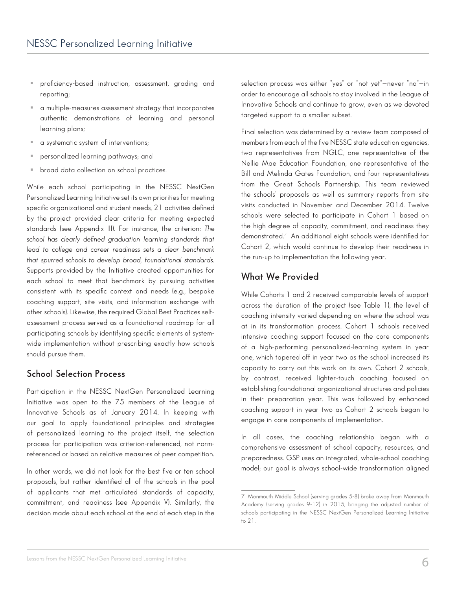- proficiency-based instruction, assessment, grading and reporting;
- a multiple-measures assessment strategy that incorporates authentic demonstrations of learning and personal learning plans;
- a systematic system of interventions;
- personalized learning pathways; and
- broad data collection on school practices.

While each school participating in the NESSC NextGen Personalized Learning Initiative set its own priorities for meeting specific organizational and student needs, 21 activities defined by the project provided clear criteria for meeting expected standards (see Appendix III). For instance, the criterion: *The school has clearly defined graduation learning standards that lead to college and career readiness sets a clear benchmark that spurred schools to develop broad, foundational standards.*  Supports provided by the Initiative created opportunities for each school to meet that benchmark by pursuing activities consistent with its specific context and needs (e.g., bespoke coaching support, site visits, and information exchange with other schools). Likewise, the required Global Best Practices selfassessment process served as a foundational roadmap for all participating schools by identifying specific elements of systemwide implementation without prescribing exactly how schools should pursue them.

### **School Selection Process**

Participation in the NESSC NextGen Personalized Learning Initiative was open to the 75 members of the League of Innovative Schools as of January 2014. In keeping with our goal to apply foundational principles and strategies of personalized learning to the project itself, the selection process for participation was criterion-referenced, not normreferenced or based on relative measures of peer competition.

In other words, we did not look for the best five or ten school proposals, but rather identified all of the schools in the pool of applicants that met articulated standards of capacity, commitment, and readiness (see Appendix V). Similarly, the decision made about each school at the end of each step in the selection process was either "yes" or "not yet"—never "no"—in order to encourage all schools to stay involved in the League of Innovative Schools and continue to grow, even as we devoted targeted support to a smaller subset.

Final selection was determined by a review team composed of members from each of the five NESSC state education agencies, two representatives from NGLC, one representative of the Nellie Mae Education Foundation, one representative of the Bill and Melinda Gates Foundation, and four representatives from the Great Schools Partnership. This team reviewed the schools' proposals as well as summary reports from site visits conducted in November and December 2014. Twelve schools were selected to participate in Cohort 1 based on the high degree of capacity, commitment, and readiness they demonstrated.7 An additional eight schools were identified for Cohort 2, which would continue to develop their readiness in the run-up to implementation the following year.

### **What We Provided**

While Cohorts 1 and 2 received comparable levels of support across the duration of the project (see Table 1), the level of coaching intensity varied depending on where the school was at in its transformation process. Cohort 1 schools received intensive coaching support focused on the core components of a high-performing personalized-learning system in year one, which tapered off in year two as the school increased its capacity to carry out this work on its own. Cohort 2 schools, by contrast, received lighter-touch coaching focused on establishing foundational organizational structures and policies in their preparation year. This was followed by enhanced coaching support in year two as Cohort 2 schools began to engage in core components of implementation.

In all cases, the coaching relationship began with a comprehensive assessment of school capacity, resources, and preparedness. GSP uses an integrated, whole-school coaching model; our goal is always school-wide transformation aligned

<sup>7</sup> Monmouth Middle School (serving grades 5-8) broke away from Monmouth Academy (serving grades 9-12) in 2015, bringing the adjusted number of schools participating in the NESSC NextGen Personalized Learning Initiative to 21.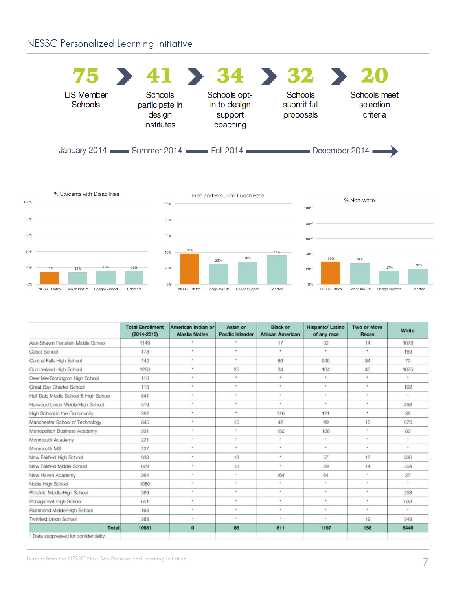### NESSC Personalized Learning Initiative

|                                     | $75$ > 41 > 34 > 32 > 20                                                   |                                                     |                                            |                                       |
|-------------------------------------|----------------------------------------------------------------------------|-----------------------------------------------------|--------------------------------------------|---------------------------------------|
| <b>LIS Member</b><br><b>Schools</b> | <b>Schools</b><br>participate in<br>design<br>institutes                   | Schools opt-<br>in to design<br>support<br>coaching | <b>Schools</b><br>submit full<br>proposals | Schools meet<br>selection<br>criteria |
|                                     | January 2014 <b>Commer 2014</b> Commer 2014 <b>Communicate Summer 2014</b> |                                                     |                                            | December 2014                         |







|                                       | <b>Total Enrollment</b><br>$(2014 - 2015)$ | American Indian or<br><b>Alaska Native</b> | Asian or<br>Pacific Islander | <b>Black or</b><br><b>African American</b> | Hispanic/ Latino<br>of any race | <b>Two or More</b><br>Races | White     |
|---------------------------------------|--------------------------------------------|--------------------------------------------|------------------------------|--------------------------------------------|---------------------------------|-----------------------------|-----------|
| Alan Shawn Feinstein Middle School    | 1149                                       | ú.                                         | $\epsilon$                   | 17                                         | 32                              | 14                          | 1078      |
| Cabot School                          | 178                                        | ٠                                          | ٠                            | $\star$                                    | ÷                               | ٠                           | 169       |
| Central Falls High School             | 742                                        | ٠                                          | ٠                            | 86                                         | 545                             | 34                          | 70        |
| Cumberland High School                | 1283                                       | ٠                                          | 25                           | 34                                         | 104                             | 45                          | 1075      |
| Deer Isle-Stonington High School      | 113                                        | ٠                                          | ٠                            | ٠                                          | ٠                               | ×.                          | ٠         |
| Great Bay Charter School              | 113                                        | $\bullet$                                  | ¥                            | $\overline{\phantom{a}}$                   | ¥                               | $\bullet$                   | 102       |
| Hall-Dale Middle School & High School | 541                                        | ٠                                          | ٠                            | ٠                                          | ٠                               | $\bullet$                   | ٠         |
| Harwood Union Middle/High School      | 519                                        | $\star$                                    | $\omega$                     | ٠                                          | $\epsilon$                      | $\bullet$                   | 498       |
| High School in the Community          | 282                                        | ٠                                          | ٠                            | 116                                        | 121                             | ×                           | 38        |
| Manchester School of Technology       | 845                                        | $\Delta$                                   | 15                           | 42                                         | 99                              | 16                          | 670       |
| Metropolitan Business Academy         | 391                                        | ٠                                          | ٠                            | 152                                        | 136                             | ٠                           | 89        |
| Monmouth Academy                      | 221                                        | ٠                                          | ٠                            | ٠                                          | ×.                              | ×.                          | ٠         |
| Monmouth MS                           | 227                                        | ٠                                          | ٠                            | $\bullet$                                  | $\epsilon$                      | $\bullet$                   | ٠         |
| New Fairfield High School             | 933                                        | ٠                                          | 13                           | $\bullet$                                  | 57                              | 16                          | 836       |
| New Fairfield Middle School           | 629                                        | ٠                                          | 13                           | $\overline{\phantom{a}}$                   | 39                              | 14                          | 554       |
| New Haven Academy                     | 264                                        | ٠                                          | ×.                           | 164                                        | 64                              | $\star$                     | 27        |
| Noble High School                     | 1080                                       | ٠                                          | ٠                            | $\bullet$                                  | ٠                               | $\lambda$                   | $\bullet$ |
| Pittsfield Middle/High School         | 269                                        | $\alpha$                                   | $\alpha$                     | ٠                                          | ×                               | ٠                           | 258       |
| Ponaganset High School                | 651                                        | ٠                                          | $\epsilon$                   | ٠                                          | ٠                               | ×                           | 633       |
| Richmond Middle/High School           | 163                                        | $\star$                                    | $\bullet$                    | ٠                                          | ٠                               | $\star$                     | $\star$   |
| <b>Twinfield Union School</b>         | 388                                        | ٠                                          | ٠                            | $\bullet$                                  | $\bullet$                       | 19                          | 349       |
| Total                                 | 10981                                      | $\mathbf{0}$                               | 66                           | 611                                        | 1197                            | 158                         | 6446      |
| * Data suppressed for confidentiality |                                            |                                            |                              |                                            |                                 |                             |           |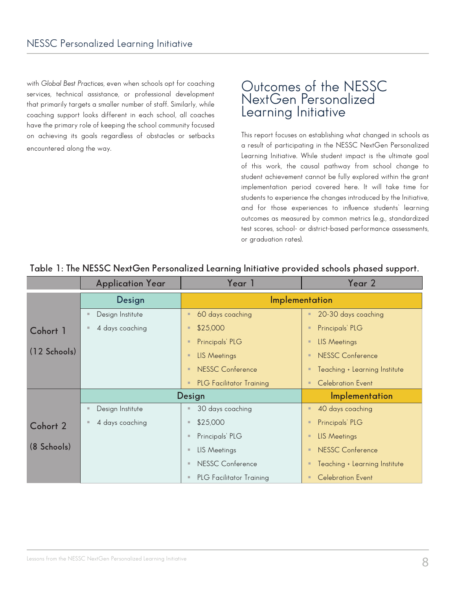with *Global Best Practices*, even when schools opt for coaching services, technical assistance, or professional development that primarily targets a smaller number of staff. Similarly, while coaching support looks different in each school, all coaches have the primary role of keeping the school community focused on achieving its goals regardless of obstacles or setbacks encountered along the way.

### Outcomes of the NESSC NextGen Personalized Learning Initiative

This report focuses on establishing what changed in schools as a result of participating in the NESSC NextGen Personalized Learning Initiative. While student impact is the ultimate goal of this work, the causal pathway from school change to student achievement cannot be fully explored within the grant implementation period covered here. It will take time for students to experience the changes introduced by the Initiative, and for those experiences to influence students' learning outcomes as measured by common metrics (e.g., standardized test scores, school- or district-based performance assessments, or graduation rates).

|                | <b>Application Year</b> | Year 1                                            | Year 2                                     |  |  |
|----------------|-------------------------|---------------------------------------------------|--------------------------------------------|--|--|
|                | Design                  |                                                   | Implementation                             |  |  |
|                | Design Institute        | 60 days coaching<br>$\blacksquare$                | 20-30 days coaching<br>$\blacksquare$      |  |  |
| Cohort 1       | 4 days coaching         | \$25,000<br>г                                     | Principals' PLG<br>$\blacksquare$          |  |  |
|                |                         | Principals' PLG<br>л                              | LIS Meetings<br>$\blacksquare$             |  |  |
| $(12$ Schools) |                         | <b>LIS Meetings</b><br>$\blacksquare$             | NESSC Conference<br>$\blacksquare$         |  |  |
|                |                         | <b>NESSC Conference</b><br>л                      | Teaching + Learning Institute<br>$\Box$    |  |  |
|                |                         | <b>PLG Facilitator Training</b><br>$\blacksquare$ | <b>Celebration Event</b><br>$\blacksquare$ |  |  |
|                | Design                  |                                                   | Implementation                             |  |  |
|                | Design Institute        | 30 days coaching                                  | 40 days coaching<br>$\blacksquare$         |  |  |
| Cohort 2       | 4 days coaching         | \$25,000<br>п                                     | Principals' PLG<br>$\blacksquare$          |  |  |
|                |                         | Principals' PLG<br>п                              | <b>LIS Meetings</b><br>$\blacksquare$      |  |  |
| (8 Schools)    |                         | LIS Meetings<br><b>III</b>                        | NESSC Conference<br>$\blacksquare$         |  |  |
|                |                         | <b>NESSC Conference</b><br><b>III</b>             | Teaching + Learning Institute<br>$\Box$    |  |  |
|                |                         | <b>PLG Facilitator Training</b>                   | <b>Celebration Event</b><br>$\Box$         |  |  |

### **Table 1: The NESSC NextGen Personalized Learning Initiative provided schools phased support.**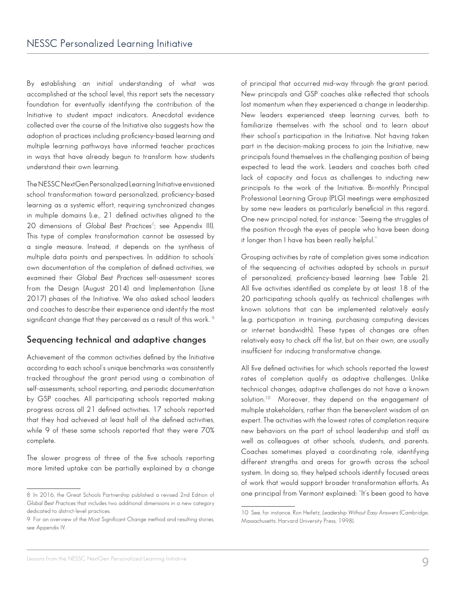By establishing an initial understanding of what was accomplished at the school level, this report sets the necessary foundation for eventually identifying the contribution of the Initiative to student impact indicators. Anecdotal evidence collected over the course of the Initiative also suggests how the adoption of practices including proficiency-based learning and multiple learning pathways have informed teacher practices in ways that have already begun to transform how students understand their own learning.

The NESSC NextGen Personalized Learning Initiative envisioned school transformation toward personalized, proficiency-based learning as a systemic effort, requiring synchronized changes in multiple domains (i.e., 21 defined activities aligned to the 20 dimensions of *Global Best Practices<sup>8</sup>;* see Appendix III). This type of complex transformation cannot be assessed by a single measure. Instead, it depends on the synthesis of multiple data points and perspectives. In addition to schools' own documentation of the completion of defined activities, we examined their *Global Best Practices* self-assessment scores from the Design (August 2014) and Implementation (June 2017) phases of the Initiative. We also asked school leaders and coaches to describe their experience and identify the most significant change that they perceived as a result of this work. <sup>9</sup>

### **Sequencing technical and adaptive changes**

Achievement of the common activities defined by the Initiative according to each school's unique benchmarks was consistently tracked throughout the grant period using a combination of self-assessments, school reporting, and periodic documentation by GSP coaches. All participating schools reported making progress across all 21 defined activities. 17 schools reported that they had achieved at least half of the defined activities, while 9 of these same schools reported that they were 70% complete.

The slower progress of three of the five schools reporting more limited uptake can be partially explained by a change of principal that occurred mid-way through the grant period. New principals and GSP coaches alike reflected that schools lost momentum when they experienced a change in leadership. New leaders experienced steep learning curves, both to familiarize themselves with the school and to learn about their school's participation in the Initiative. Not having taken part in the decision-making process to join the Initiative, new principals found themselves in the challenging position of being expected to lead the work. Leaders and coaches both cited lack of capacity and focus as challenges to inducting new principals to the work of the Initiative. Bi-monthly Principal Professional Learning Group (PLG) meetings were emphasized by some new leaders as particularly beneficial in this regard. One new principal noted, for instance: "Seeing the struggles of the position through the eyes of people who have been doing it longer than I have has been really helpful."

Grouping activities by rate of completion gives some indication of the sequencing of activities adopted by schools in pursuit of personalized, proficiency-based learning (see Table 2). All five activities identified as complete by at least 18 of the 20 participating schools qualify as technical challenges with known solutions that can be implemented relatively easily (e.g. participation in training, purchasing computing devices or internet bandwidth). These types of changes are often relatively easy to check off the list, but on their own, are usually insufficient for inducing transformative change.

All five defined activities for which schools reported the lowest rates of completion qualify as adaptive challenges. Unlike technical changes, adaptive challenges do not have a known solution.<sup>10</sup> Moreover, they depend on the engagement of multiple stakeholders, rather than the benevolent wisdom of an expert. The activities with the lowest rates of completion require new behaviors on the part of school leadership and staff as well as colleagues at other schools, students, and parents. Coaches sometimes played a coordinating role, identifying different strengths and areas for growth across the school system. In doing so, they helped schools identify focused areas of work that would support broader transformation efforts. As one principal from Vermont explained: "It's been good to have

<sup>8</sup> In 2016, the Great Schools Partnership published a revised 2nd Edition of *Global Best Practices* that includes two additional dimensions in a new category dedicated to district-level practices.

<sup>9</sup> For an overview of the Most Significant Change method and resulting stories, see Appendix IV.

<sup>10</sup> See, for instance, Ron Heifetz, *Leadership Without Easy Answers* (Cambridge, Massachusetts: Harvard University Press, 1998).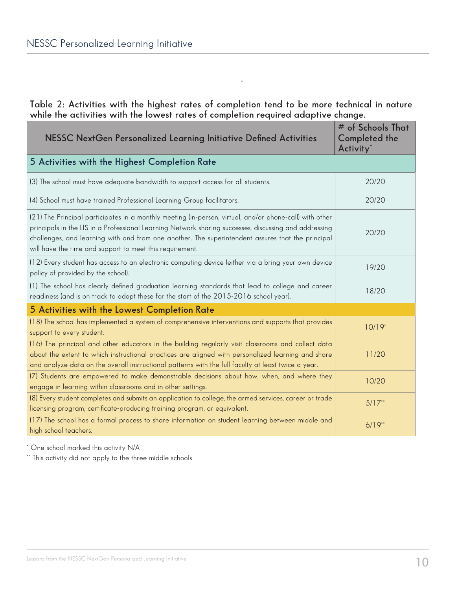**Table 2: Activities with the highest rates of completion tend to be more technical in nature while the activities with the lowest rates of completion required adaptive change.** 

\*

| NESSC NextGen Personalized Learning Initiative Defined Activities                                                                                                                                                                                                                                                                                                                 | # of Schools That<br>Completed the<br>Activity <sup>*</sup> |
|-----------------------------------------------------------------------------------------------------------------------------------------------------------------------------------------------------------------------------------------------------------------------------------------------------------------------------------------------------------------------------------|-------------------------------------------------------------|
| 5 Activities with the Highest Completion Rate                                                                                                                                                                                                                                                                                                                                     |                                                             |
| (3) The school must have adequate bandwidth to support access for all students.                                                                                                                                                                                                                                                                                                   | 20/20                                                       |
| (4) School must have trained Professional Learning Group facilitators.                                                                                                                                                                                                                                                                                                            | 20/20                                                       |
| (21) The Principal participates in a monthly meeting (in-person, virtual, and/or phone-call) with other<br>principals in the LIS in a Professional Learning Network sharing successes, discussing and addressing<br>challenges, and learning with and from one another. The superintendent assures that the principal<br>will have the time and support to meet this requirement. | 20/20                                                       |
| (12) Every student has access to an electronic computing device (either via a bring your own device<br>policy of provided by the school).                                                                                                                                                                                                                                         | 19/20                                                       |
| (1) The school has clearly defined graduation learning standards that lead to college and career<br>readiness (and is on track to adopt these for the start of the 2015-2016 school year).                                                                                                                                                                                        | 18/20                                                       |
| 5 Activities with the Lowest Completion Rate                                                                                                                                                                                                                                                                                                                                      |                                                             |
| (18) The school has implemented a system of comprehensive interventions and supports that provides<br>support to every student.                                                                                                                                                                                                                                                   | $10/19*$                                                    |
| (16) The principal and other educators in the building regularly visit classrooms and collect data<br>about the extent to which instructional practices are aligned with personalized learning and share<br>and analyze data on the overall instructional patterns with the full faculty at least twice a year.                                                                   | 11/20                                                       |
| (7) Students are empowered to make demonstrable decisions about how, when, and where they<br>engage in learning within classrooms and in other settings.                                                                                                                                                                                                                          | 10/20                                                       |
| (8) Every student completes and submits an application to college, the armed services, career or trade<br>licensing program, certificate-producing training program, or equivalent.                                                                                                                                                                                               | $5/17**$                                                    |
| (17) The school has a formal process to share information on student learning between middle and<br>high school teachers.                                                                                                                                                                                                                                                         | $6/19**$                                                    |

\* One school marked this activity N/A

\*\* This activity did not apply to the three middle schools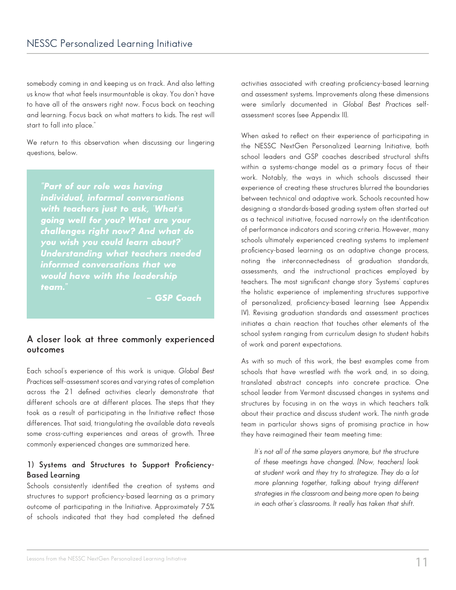somebody coming in and keeping us on track. And also letting us know that what feels insurmountable is okay. You don't have to have all of the answers right now. Focus back on teaching and learning. Focus back on what matters to kids. The rest will start to fall into place."

We return to this observation when discussing our lingering questions, below.

*"Part of our role was having individual, informal conversations with teachers just to ask, 'What's going well for you? What are your challenges right now? And what do you wish you could learn about?' Understanding what teachers needed informed conversations that we would have with the leadership team."*

*– GSP Coach*

### **A closer look at three commonly experienced outcomes**

Each school's experience of this work is unique. *Global Best Practices* self-assessment scores and varying rates of completion across the 21 defined activities clearly demonstrate that different schools are at different places. The steps that they took as a result of participating in the Initiative reflect those differences. That said, triangulating the available data reveals some cross-cutting experiences and areas of growth. Three commonly experienced changes are summarized here.

### **1) Systems and Structures to Support Proficiency-Based Learning**

Schools consistently identified the creation of systems and structures to support proficiency-based learning as a primary outcome of participating in the Initiative. Approximately 75% of schools indicated that they had completed the defined activities associated with creating proficiency-based learning and assessment systems. Improvements along these dimensions were similarly documented in *Global Best Practices* selfassessment scores (see Appendix II).

When asked to reflect on their experience of participating in the NESSC NextGen Personalized Learning Initiative, both school leaders and GSP coaches described structural shifts within a systems-change model as a primary focus of their work. Notably, the ways in which schools discussed their experience of creating these structures blurred the boundaries between technical and adaptive work. Schools recounted how designing a standards-based grading system often started out as a technical initiative, focused narrowly on the identification of performance indicators and scoring criteria. However, many schools ultimately experienced creating systems to implement proficiency-based learning as an adaptive change process, noting the interconnectedness of graduation standards, assessments, and the instructional practices employed by teachers. The most significant change story 'Systems' captures the holistic experience of implementing structures supportive of personalized, proficiency-based learning (see Appendix IV). Revising graduation standards and assessment practices initiates a chain reaction that touches other elements of the school system ranging from curriculum design to student habits of work and parent expectations.

As with so much of this work, the best examples come from schools that have wrestled with the work and, in so doing, translated abstract concepts into concrete practice. One school leader from Vermont discussed changes in systems and structures by focusing in on the ways in which teachers talk about their practice and discuss student work. The ninth grade team in particular shows signs of promising practice in how they have reimagined their team meeting time:

*It's not all of the same players anymore, but the structure of these meetings have changed. [Now, teachers] look at student work and they try to strategize. They do a lot more planning together, talking about trying different strategies in the classroom and being more open to being in each other's classrooms. It really has taken that shift.*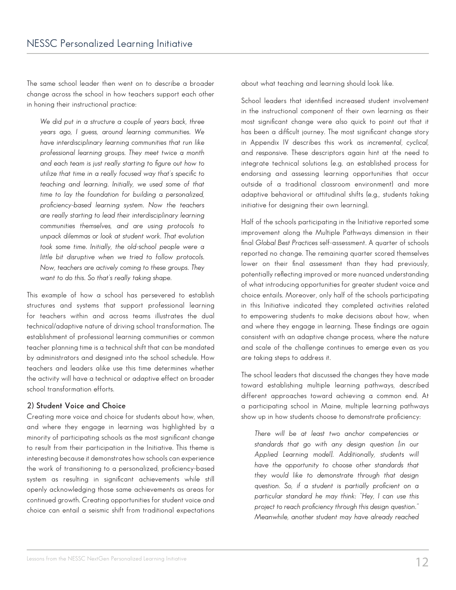The same school leader then went on to describe a broader change across the school in how teachers support each other in honing their instructional practice:

*We did put in a structure a couple of years back, three years ago, I guess, around learning communities. We have interdisciplinary learning communities that run like professional learning groups. They meet twice a month and each team is just really starting to figure out how to utilize that time in a really focused way that's specific to teaching and learning. Initially, we used some of that time to lay the foundation for building a personalized, proficiency-based learning system. Now the teachers are really starting to lead their interdisciplinary learning communities themselves, and are using protocols to unpack dilemmas or look at student work. That evolution took some time. Initially, the old-school people were a little bit disruptive when we tried to follow protocols. Now, teachers are actively coming to these groups. They want to do this. So that's really taking shape.* 

This example of how a school has persevered to establish structures and systems that support professional learning for teachers within and across teams illustrates the dual technical/adaptive nature of driving school transformation. The establishment of professional learning communities or common teacher planning time is a technical shift that can be mandated by administrators and designed into the school schedule. How teachers and leaders alike use this time determines whether the activity will have a technical or adaptive effect on broader school transformation efforts.

### **2) Student Voice and Choice**

Creating more voice and choice for students about how, when, and where they engage in learning was highlighted by a minority of participating schools as the most significant change to result from their participation in the Initiative. This theme is interesting because it demonstrates how schools can experience the work of transitioning to a personalized, proficiency-based system as resulting in significant achievements while still openly acknowledging those same achievements as areas for continued growth. Creating opportunities for student voice and choice can entail a seismic shift from traditional expectations about what teaching and learning should look like.

School leaders that identified increased student involvement in the instructional component of their own learning as their most significant change were also quick to point out that it has been a difficult journey. The most significant change story in Appendix IV describes this work as *incremental*, *cyclical,*  and *responsive*. These descriptors again hint at the need to integrate technical solutions (e.g. an established process for endorsing and assessing learning opportunities that occur outside of a traditional classroom environment) and more adaptive behavioral or attitudinal shifts (e.g., students taking initiative for designing their own learning).

Half of the schools participating in the Initiative reported some improvement along the Multiple Pathways dimension in their final *Global Best Practices* self-assessment. A quarter of schools reported no change. The remaining quarter scored themselves lower on their final assessment than they had previously, potentially reflecting improved or more nuanced understanding of what introducing opportunities for greater student voice and choice entails. Moreover, only half of the schools participating in this Initiative indicated they completed activities related to empowering students to make decisions about how, when and where they engage in learning. These findings are again consistent with an adaptive change process, where the nature and scale of the challenge continues to emerge even as you are taking steps to address it.

The school leaders that discussed the changes they have made toward establishing multiple learning pathways, described different approaches toward achieving a common end. At a participating school in Maine, multiple learning pathways show up in how students choose to demonstrate proficiency:

*There will be at least two anchor competencies or standards that go with any design question [in our Applied Learning model]. Additionally, students will have the opportunity to choose other standards that they would like to demonstrate through that design question. So, if a student is partially proficient on a particular standard he may think: "Hey, I can use this project to reach proficiency through this design question." Meanwhile, another student may have already reached*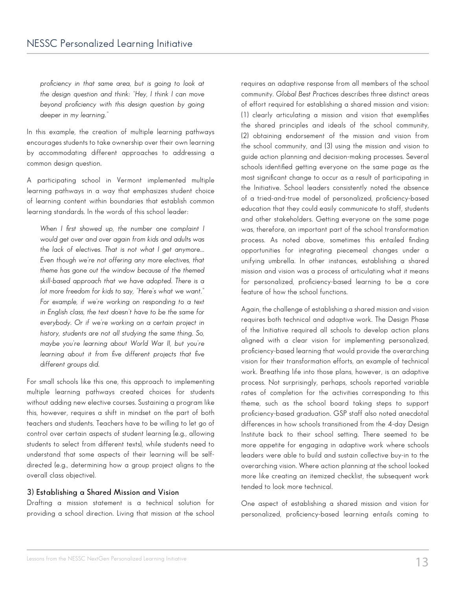*proficiency in that same area, but is going to look at the design question and think: "Hey, I think I can move beyond proficiency with this design question by going deeper in my learning."*

In this example, the creation of multiple learning pathways encourages students to take ownership over their own learning by accommodating different approaches to addressing a common design question.

A participating school in Vermont implemented multiple learning pathways in a way that emphasizes student choice of learning content within boundaries that establish common learning standards. In the words of this school leader:

*When I first showed up, the number one complaint I would get over and over again from kids and adults was the lack of electives. That is not what I get anymore... Even though we're not offering any more electives, that theme has gone out the window because of the themed skill-based approach that we have adopted. There is a lot more freedom for kids to say, "Here's what we want." For example, if we're working on responding to a text in English class, the text doesn't have to be the same for everybody. Or if we're working on a certain project in history, students are not all studying the same thing. So, maybe you're learning about World War II, but you're learning about it from five different projects that five different groups did.* 

For small schools like this one, this approach to implementing multiple learning pathways created choices for students without adding new elective courses. Sustaining a program like this, however, requires a shift in mindset on the part of both teachers and students. Teachers have to be willing to let go of control over certain aspects of student learning (e.g., allowing students to select from different texts), while students need to understand that some aspects of their learning will be selfdirected (e.g., determining how a group project aligns to the overall class objective).

#### **3) Establishing a Shared Mission and Vision**

Drafting a mission statement is a technical solution for providing a school direction. Living that mission at the school

requires an adaptive response from all members of the school community. *Global Best Practices* describes three distinct areas of effort required for establishing a shared mission and vision: (1) clearly articulating a mission and vision that exemplifies the shared principles and ideals of the school community, (2) obtaining endorsement of the mission and vision from the school community, and (3) using the mission and vision to guide action planning and decision-making processes. Several schools identified getting everyone on the same page as the most significant change to occur as a result of participating in the Initiative. School leaders consistently noted the absence of a tried-and-true model of personalized, proficiency-based education that they could easily communicate to staff, students and other stakeholders. Getting everyone on the same page was, therefore, an important part of the school transformation process. As noted above, sometimes this entailed finding opportunities for integrating piecemeal changes under a unifying umbrella. In other instances, establishing a shared mission and vision was a process of articulating what it means for personalized, proficiency-based learning to be a core feature of how the school functions.

Again, the challenge of establishing a shared mission and vision requires both technical and adaptive work. The Design Phase of the Initiative required all schools to develop action plans aligned with a clear vision for implementing personalized, proficiency-based learning that would provide the overarching vision for their transformation efforts, an example of technical work. Breathing life into those plans, however, is an adaptive process. Not surprisingly, perhaps, schools reported variable rates of completion for the activities corresponding to this theme, such as the school board taking steps to support proficiency-based graduation. GSP staff also noted anecdotal differences in how schools transitioned from the 4-day Design Institute back to their school setting. There seemed to be more appetite for engaging in adaptive work where schools leaders were able to build and sustain collective buy-in to the overarching vision. Where action planning at the school looked more like creating an itemized checklist, the subsequent work tended to look more technical.

One aspect of establishing a shared mission and vision for personalized, proficiency-based learning entails coming to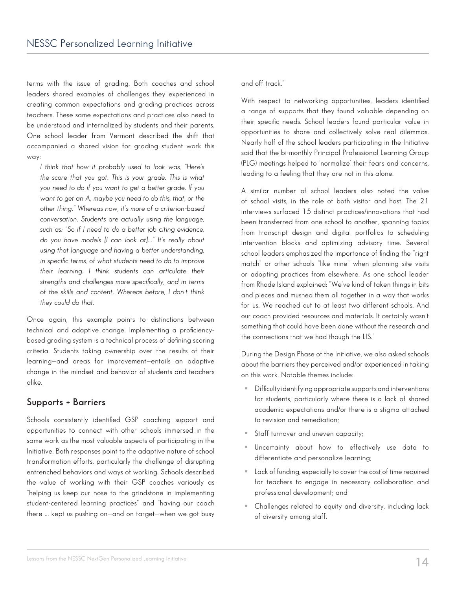terms with the issue of grading. Both coaches and school leaders shared examples of challenges they experienced in creating common expectations and grading practices across teachers. These same expectations and practices also need to be understood and internalized by students and their parents. One school leader from Vermont described the shift that accompanied a shared vision for grading student work this way:

*I think that how it probably used to look was, "Here's the score that you got. This is your grade. This is what you need to do if you want to get a better grade. If you want to get an A, maybe you need to do this, that, or the other thing." Whereas now, it's more of a criterion-based conversation. Students are actually using the language, such as: "So if I need to do a better job citing evidence, do you have models [I can look at]..." It's really about using that language and having a better understanding, in specific terms, of what students need to do to improve their learning. I think students can articulate their strengths and challenges more specifically, and in terms of the skills and content. Whereas before, I don't think they could do that.* 

Once again, this example points to distinctions between technical and adaptive change. Implementing a proficiencybased grading system is a technical process of defining scoring criteria. Students taking ownership over the results of their learning—and areas for improvement—entails an adaptive change in the mindset and behavior of students and teachers alike.

### **Supports + Barriers**

Schools consistently identified GSP coaching support and opportunities to connect with other schools immersed in the same work as the most valuable aspects of participating in the Initiative. Both responses point to the adaptive nature of school transformation efforts, particularly the challenge of disrupting entrenched behaviors and ways of working. Schools described the value of working with their GSP coaches variously as "helping us keep our nose to the grindstone in implementing student-centered learning practices" and "having our coach there ... kept us pushing on—and on target—when we got busy and off track."

With respect to networking opportunities, leaders identified a range of supports that they found valuable depending on their specific needs. School leaders found particular value in opportunities to share and collectively solve real dilemmas. Nearly half of the school leaders participating in the Initiative said that the bi-monthly Principal Professional Learning Group (PLG) meetings helped to 'normalize' their fears and concerns, leading to a feeling that they are not in this alone.

A similar number of school leaders also noted the value of school visits, in the role of both visitor and host. The 21 interviews surfaced 15 distinct practices/innovations that had been transferred from one school to another, spanning topics from transcript design and digital portfolios to scheduling intervention blocks and optimizing advisory time. Several school leaders emphasized the importance of finding the "right match" or other schools "like mine" when planning site visits or adopting practices from elsewhere. As one school leader from Rhode Island explained: "We've kind of taken things in bits and pieces and mushed them all together in a way that works for us. We reached out to at least two different schools. And our coach provided resources and materials. It certainly wasn't something that could have been done without the research and the connections that we had though the LIS."

During the Design Phase of the Initiative, we also asked schools about the barriers they perceived and/or experienced in taking on this work. Notable themes include:

- Difficulty identifying appropriate supports and interventions for students, particularly where there is a lack of shared academic expectations and/or there is a stigma attached to revision and remediation;
- Staff turnover and uneven capacity;
- Uncertainty about how to effectively use data to differentiate and personalize learning;
- **Lack of funding, especially to cover the cost of time required** for teachers to engage in necessary collaboration and professional development; and
- Challenges related to equity and diversity, including lack of diversity among staff.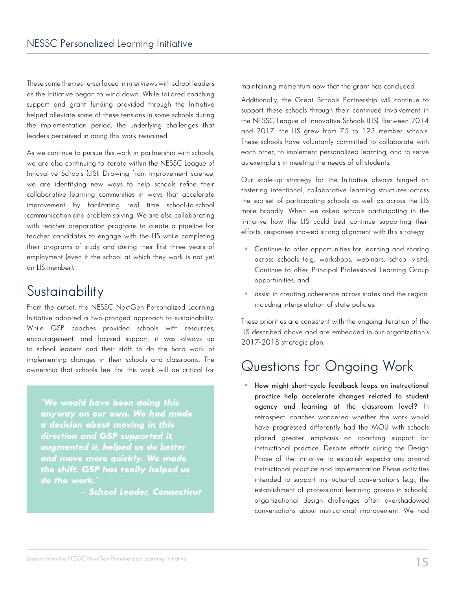These same themes re-surfaced in interviews with school leaders as the Initiative began to wind down. While tailored coaching support and grant funding provided through the Initiative helped alleviate some of these tensions in some schools during the implementation period, the underlying challenges that leaders perceived in doing this work remained.

As we continue to pursue this work in partnership with schools, we are also continuing to iterate within the NESSC League of Innovative Schools (LIS). Drawing from improvement science, we are identifying new ways to help schools refine their collaborative learning communities in ways that accelerate improvement by facilitating real time school-to-school communication and problem solving. We are also collaborating with teacher preparation programs to create a pipeline for teacher candidates to engage with the LIS while completing their programs of study and during their first three years of employment (even if the school at which they work is not yet an LIS member).

### **Sustainability**

From the outset, the NESSC NextGen Personalized Learning Initiative adopted a two-pronged approach to sustainability. While GSP coaches provided schools with resources, encouragement, and focused support, it was always up to school leaders and their staff to do the hard work of implementing changes in their schools and classrooms. The ownership that schools feel for this work will be critical for

*"We would have been doing this anyway on our own. We had made a decision about moving in this direction and GSP supported it, augmented it, helped us do better and move more quickly. We made the shift. GSP has really helped us*  do the work."

*– School Leader, Connecticut* 

maintaining momentum now that the grant has concluded.

Additionally, the Great Schools Partnership will continue to support these schools through their continued involvement in the NESSC League of Innovative Schools (LIS). Between 2014 and 2017, the LIS grew from 75 to 123 member schools. These schools have voluntarily committed to collaborate with each other, to implement personalized learning, and to serve as exemplars in meeting the needs of all students.

Our scale-up strategy for the Initiative always hinged on fostering intentional, collaborative learning structures across the sub-set of participating schools as well as across the LIS more broadly. When we asked schools participating in the Initiative how the LIS could best continue supporting their efforts, responses showed strong alignment with this strategy:

- Continue to offer opportunities for learning and sharing across schools (e.g. workshops, webinars, school visits); Continue to offer Principal Professional Learning Group opportunities; and
- assist in creating coherence across states and the region, including interpretation of state policies.

These priorities are consistent with the ongoing iteration of the LIS described above and are embedded in our organization's 2017-2018 strategic plan.

### Questions for Ongoing Work

 **How might short-cycle feedback loops on instructional practice help accelerate changes related to student agency and learning at the classroom level?** In retrospect, coaches wondered whether the work would have progressed differently had the MOU with schools placed greater emphasis on coaching support for instructional practice. Despite efforts during the Design Phase of the Initiative to establish expectations around instructional practice and Implementation Phase activities intended to support instructional conversations (e.g., the establishment of professional learning groups in schools), organizational design challenges often overshadowed conversations about instructional improvement. We had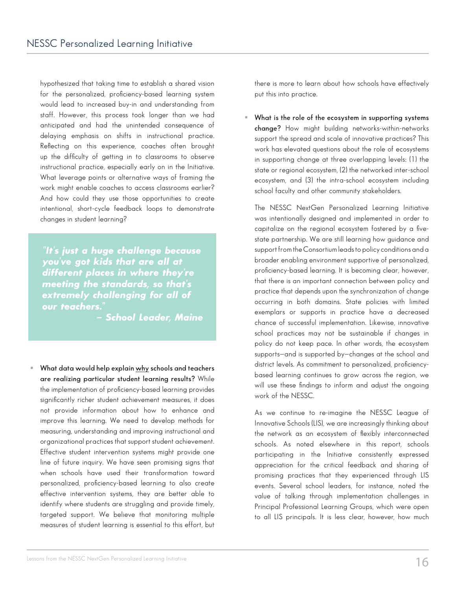hypothesized that taking time to establish a shared vision for the personalized, proficiency-based learning system would lead to increased buy-in and understanding from staff. However, this process took longer than we had anticipated and had the unintended consequence of delaying emphasis on shifts in instructional practice. Reflecting on this experience, coaches often brought up the difficulty of getting in to classrooms to observe instructional practice, especially early on in the Initiative. What leverage points or alternative ways of framing the work might enable coaches to access classrooms earlier? And how could they use those opportunities to create intentional, short-cycle feedback loops to demonstrate changes in student learning?

*"It's just a huge challenge because you've got kids that are all at different places in where they're meeting the standards, so that's extremely challenging for all of our teachers."* 

*– School Leader, Maine*

 **What data would help explain why schools and teachers are realizing particular student learning results?** While the implementation of proficiency-based learning provides significantly richer student achievement measures, it does not provide information about how to enhance and improve this learning. We need to develop methods for measuring, understanding and improving instructional and organizational practices that support student achievement. Effective student intervention systems might provide one line of future inquiry. We have seen promising signs that when schools have used their transformation toward personalized, proficiency-based learning to also create effective intervention systems, they are better able to identify where students are struggling and provide timely, targeted support. We believe that monitoring multiple measures of student learning is essential to this effort, but

there is more to learn about how schools have effectively put this into practice.

 **What is the role of the ecosystem in supporting systems change?** How might building networks-within-networks support the spread and scale of innovative practices? This work has elevated questions about the role of ecosystems in supporting change at three overlapping levels: (1) the state or regional ecosystem, (2) the networked inter-school ecosystem, and (3) the intra-school ecosystem including school faculty and other community stakeholders.

The NESSC NextGen Personalized Learning Initiative was intentionally designed and implemented in order to capitalize on the regional ecosystem fostered by a fivestate partnership. We are still learning how guidance and support from the Consortium leads to policy conditions and a broader enabling environment supportive of personalized, proficiency-based learning. It is becoming clear, however, that there is an important connection between policy and practice that depends upon the synchronization of change occurring in both domains. State policies with limited exemplars or supports in practice have a decreased chance of successful implementation. Likewise, innovative school practices may not be sustainable if changes in policy do not keep pace. In other words, the ecosystem supports—and is supported by—changes at the school and district levels. As commitment to personalized, proficiencybased learning continues to grow across the region, we will use these findings to inform and adjust the ongoing work of the NESSC.

As we continue to re-imagine the NESSC League of Innovative Schools (LIS), we are increasingly thinking about the network as an ecosystem of flexibly interconnected schools. As noted elsewhere in this report, schools participating in the Initiative consistently expressed appreciation for the critical feedback and sharing of promising practices that they experienced through LIS events. Several school leaders, for instance, noted the value of talking through implementation challenges in Principal Professional Learning Groups, which were open to all LIS principals. It is less clear, however, how much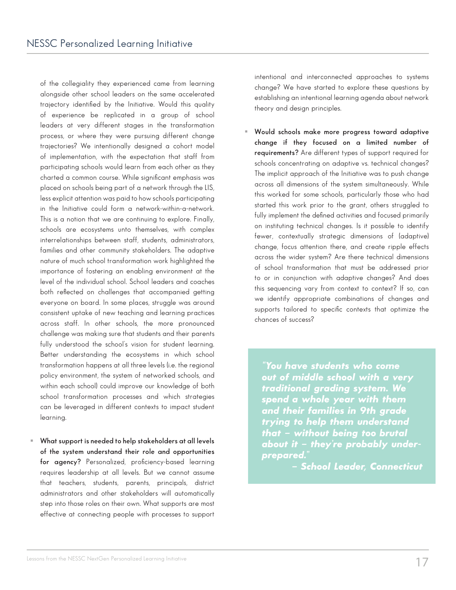of the collegiality they experienced came from learning alongside other school leaders on the same accelerated trajectory identified by the Initiative. Would this quality of experience be replicated in a group of school leaders at very different stages in the transformation process, or where they were pursuing different change trajectories? We intentionally designed a cohort model of implementation, with the expectation that staff from participating schools would learn from each other as they charted a common course. While significant emphasis was placed on schools being part of a network through the LIS, less explicit attention was paid to how schools participating in the Initiative could form a network-within-a-network. This is a notion that we are continuing to explore. Finally, schools are ecosystems unto themselves, with complex interrelationships between staff, students, administrators, families and other community stakeholders. The adaptive nature of much school transformation work highlighted the importance of fostering an enabling environment at the level of the individual school. School leaders and coaches both reflected on challenges that accompanied getting everyone on board. In some places, struggle was around consistent uptake of new teaching and learning practices across staff. In other schools, the more pronounced challenge was making sure that students and their parents fully understood the school's vision for student learning. Better understanding the ecosystems in which school transformation happens at all three levels (i.e. the regional policy environment, the system of networked schools, and within each school) could improve our knowledge of both school transformation processes and which strategies can be leveraged in different contexts to impact student learning.

 **What support is needed to help stakeholders at all levels of the system understand their role and opportunities for agency?** Personalized, proficiency-based learning requires leadership at all levels. But we cannot assume that teachers, students, parents, principals, district administrators and other stakeholders will automatically step into those roles on their own. What supports are most effective at connecting people with processes to support

intentional and interconnected approaches to systems change? We have started to explore these questions by establishing an intentional learning agenda about network theory and design principles.

 **Would schools make more progress toward adaptive change if they focused on a limited number of requirements?** Are different types of support required for schools concentrating on adaptive vs. technical changes? The implicit approach of the Initiative was to push change across all dimensions of the system simultaneously. While this worked for some schools, particularly those who had started this work prior to the grant, others struggled to fully implement the defined activities and focused primarily on instituting technical changes. Is it possible to identify fewer, contextually strategic dimensions of (adaptive) change, focus attention there, and create ripple effects across the wider system? Are there technical dimensions of school transformation that must be addressed prior to or in conjunction with adaptive changes? And does this sequencing vary from context to context? If so, can we identify appropriate combinations of changes and supports tailored to specific contexts that optimize the chances of success?

*"You have students who come out of middle school with a very traditional grading system. We spend a whole year with them and their families in 9th grade trying to help them understand that – without being too brutal about it – they're probably underprepared."*

*– School Leader, Connecticut*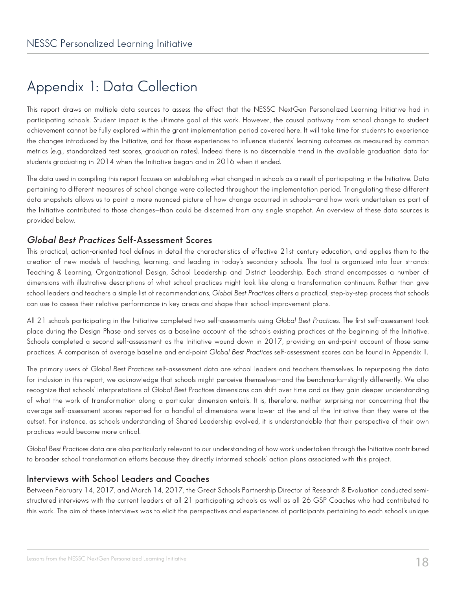### Appendix 1: Data Collection

This report draws on multiple data sources to assess the effect that the NESSC NextGen Personalized Learning Initiative had in participating schools. Student impact is the ultimate goal of this work. However, the causal pathway from school change to student achievement cannot be fully explored within the grant implementation period covered here. It will take time for students to experience the changes introduced by the Initiative, and for those experiences to influence students' learning outcomes as measured by common metrics (e.g., standardized test scores, graduation rates). Indeed there is no discernable trend in the available graduation data for students graduating in 2014 when the Initiative began and in 2016 when it ended.

The data used in compiling this report focuses on establishing what changed in schools as a result of participating in the Initiative. Data pertaining to different measures of school change were collected throughout the implementation period. Triangulating these different data snapshots allows us to paint a more nuanced picture of how change occurred in schools—and how work undertaken as part of the Initiative contributed to those changes—than could be discerned from any single snapshot. An overview of these data sources is provided below.

### **Global Best Practices Self-Assessment Scores**

This practical, action-oriented tool defines in detail the characteristics of effective 21st century education, and applies them to the creation of new models of teaching, learning, and leading in today's secondary schools. The tool is organized into four strands: Teaching & Learning, Organizational Design, School Leadership and District Leadership. Each strand encompasses a number of dimensions with illustrative descriptions of what school practices might look like along a transformation continuum. Rather than give school leaders and teachers a simple list of recommendations, *Global Best Practices* offers a practical, step-by-step process that schools can use to assess their relative performance in key areas and shape their school-improvement plans.

All 21 schools participating in the Initiative completed two self-assessments using *Global Best Practices*. The first self-assessment took place during the Design Phase and serves as a baseline account of the schools existing practices at the beginning of the Initiative. Schools completed a second self-assessment as the Initiative wound down in 2017, providing an end-point account of those same practices. A comparison of average baseline and end-point *Global Best Practices* self-assessment scores can be found in Appendix II.

The primary users of *Global Best Practices* self-assessment data are school leaders and teachers themselves. In repurposing the data for inclusion in this report, we acknowledge that schools might perceive themselves—and the benchmarks—slightly differently. We also recognize that schools' interpretations of *Global Best Practices* dimensions can shift over time and as they gain deeper understanding of what the work of transformation along a particular dimension entails. It is, therefore, neither surprising nor concerning that the average self-assessment scores reported for a handful of dimensions were lower at the end of the Initiative than they were at the outset. For instance, as schools understanding of Shared Leadership evolved, it is understandable that their perspective of their own practices would become more critical.

*Global Best Practices* data are also particularly relevant to our understanding of how work undertaken through the Initiative contributed to broader school transformation efforts because they directly informed schools' action plans associated with this project.

### **Interviews with School Leaders and Coaches**

Between February 14, 2017, and March 14, 2017, the Great Schools Partnership Director of Research & Evaluation conducted semistructured interviews with the current leaders at all 21 participating schools as well as all 26 GSP Coaches who had contributed to this work. The aim of these interviews was to elicit the perspectives and experiences of participants pertaining to each school's unique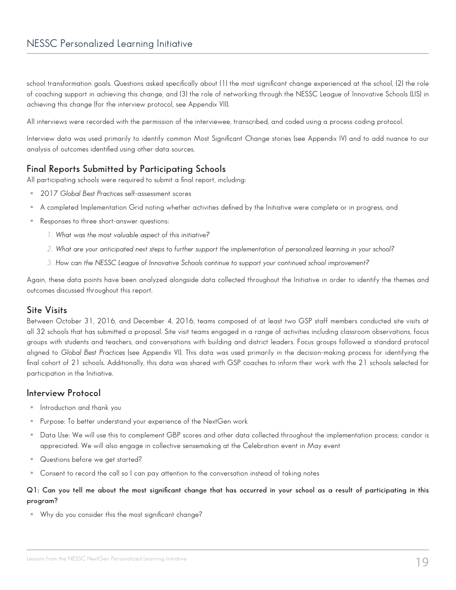school transformation goals. Questions asked specifically about (1) the most significant change experienced at the school, (2) the role of coaching support in achieving this change, and (3) the role of networking through the NESSC League of Innovative Schools (LIS) in achieving this change (for the interview protocol, see Appendix VII).

All interviews were recorded with the permission of the interviewee, transcribed, and coded using a process coding protocol.

Interview data was used primarily to identify common Most Significant Change stories (see Appendix IV) and to add nuance to our analysis of outcomes identified using other data sources.

### **Final Reports Submitted by Participating Schools**

All participating schools were required to submit a final report, including:

- 2017 *Global Best Practices* self-assessment scores
- A completed Implementation Grid noting whether activities defined by the Initiative were complete or in progress, and
- Responses to three short-answer questions:
	- *1. What was the most valuable aspect of this initiative?*
	- *2. What are your anticipated next steps to further support the implementation of personalized learning in your school?*
	- *3. How can the NESSC League of Innovative Schools continue to support your continued school improvement?*

Again, these data points have been analyzed alongside data collected throughout the Initiative in order to identify the themes and outcomes discussed throughout this report.

### **Site Visits**

Between October 31, 2016, and December 4, 2016, teams composed of at least two GSP staff members conducted site visits at all 32 schools that has submitted a proposal. Site visit teams engaged in a range of activities including classroom observations, focus groups with students and teachers, and conversations with building and district leaders. Focus groups followed a standard protocol aligned to *Global Best Practices* (see Appendix VI). This data was used primarily in the decision-making process for identifying the final cohort of 21 schools. Additionally, this data was shared with GSP coaches to inform their work with the 21 schools selected for participation in the Initiative.

### **Interview Protocol**

- Introduction and thank you
- Purpose: To better understand your experience of the NextGen work
- Data Use: We will use this to complement GBP scores and other data collected throughout the implementation process; candor is appreciated. We will also engage in collective sensemaking at the Celebration event in May event
- Questions before we get started?
- Consent to record the call so I can pay attention to the conversation instead of taking notes

### **Q1: Can you tell me about the most significant change that has occurred in your school as a result of participating in this program?**

Why do you consider this the most significant change?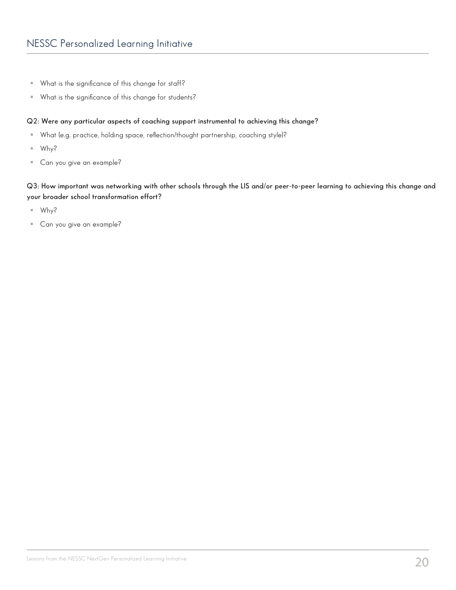- What is the significance of this change for staff?
- What is the significance of this change for students?

#### **Q2: Were any particular aspects of coaching support instrumental to achieving this change?**

- What (e.g. practice, holding space, reflection/thought partnership, coaching style)?
- $W$ hy?
- **Can you give an example?**

#### **Q3: How important was networking with other schools through the LIS and/or peer-to-peer learning to achieving this change and your broader school transformation effort?**

- $Why?$
- Can you give an example?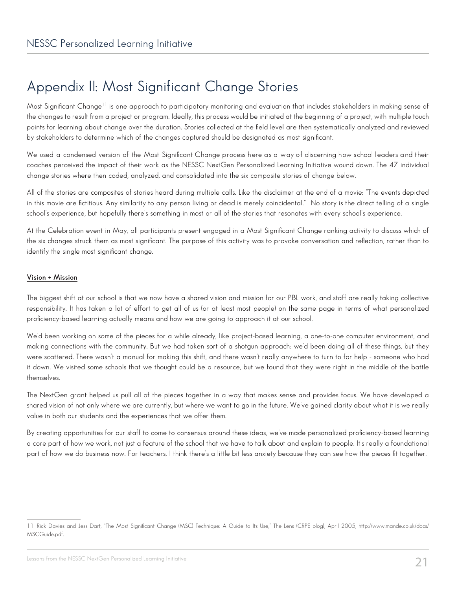### Appendix II: Most Significant Change Stories

Most Significant Change<sup>11</sup> is one approach to participatory monitoring and evaluation that includes stakeholders in making sense of the changes to result from a project or program. Ideally, this process would be initiated at the beginning of a project, with multiple touch points for learning about change over the duration. Stories collected at the field level are then systematically analyzed and reviewed by stakeholders to determine which of the changes captured should be designated as most significant.

We used a condensed version of the Most Significant Change process here as a way of discerning how school leaders and their coaches perceived the impact of their work as the NESSC NextGen Personalized Learning Initiative wound down. The 47 individual change stories where then coded, analyzed, and consolidated into the six composite stories of change below.

All of the stories are composites of stories heard during multiple calls. Like the disclaimer at the end of a movie: "The events depicted in this movie are fictitious. Any similarity to any person living or dead is merely coincidental." No story is the direct telling of a single school's experience, but hopefully there's something in most or all of the stories that resonates with every school's experience.

At the Celebration event in May, all participants present engaged in a Most Significant Change ranking activity to discuss which of the six changes struck them as most significant. The purpose of this activity was to provoke conversation and reflection, rather than to identify the single most significant change.

#### **Vision + Mission**

The biggest shift at our school is that we now have a shared vision and mission for our PBL work, and staff are really taking collective responsibility. It has taken a lot of effort to get all of us (or at least most people) on the same page in terms of what personalized proficiency-based learning actually means and how we are going to approach it at our school.

We'd been working on some of the pieces for a while already, like project-based learning, a one-to-one computer environment, and making connections with the community. But we had taken sort of a shotgun approach: we'd been doing all of these things, but they were scattered. There wasn't a manual for making this shift, and there wasn't really anywhere to turn to for help - someone who had it down. We visited some schools that we thought could be a resource, but we found that they were right in the middle of the battle themselves.

The NextGen grant helped us pull all of the pieces together in a way that makes sense and provides focus. We have developed a shared vision of not only where we are currently, but where we want to go in the future. We've gained clarity about what it is we really value in both our students and the experiences that we offer them.

By creating opportunities for our staff to come to consensus around these ideas, we've made personalized proficiency-based learning a core part of how we work, not just a feature of the school that we have to talk about and explain to people. It's really a foundational part of how we do business now. For teachers, I think there's a little bit less anxiety because they can see how the pieces fit together.

<sup>11</sup> Rick Davies and Jess Dart, "The Most Significant Change (MSC) Technique: A Guide to Its Use," The Lens (CRPE blog), April 2005, http://www.mande.co.uk/docs/ MSCGuide.pdf.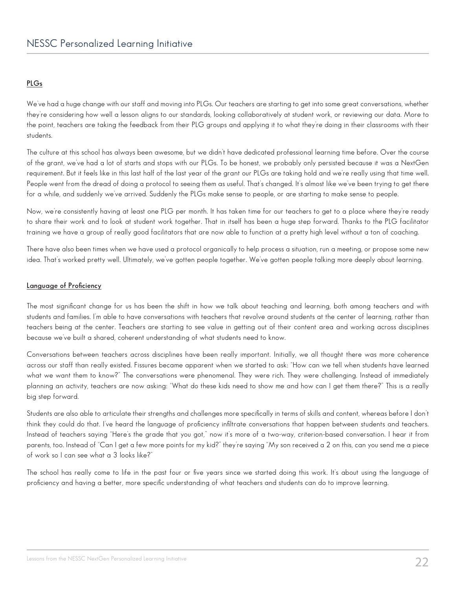#### **PLGs**

We've had a huge change with our staff and moving into PLGs. Our teachers are starting to get into some great conversations, whether they're considering how well a lesson aligns to our standards, looking collaboratively at student work, or reviewing our data. More to the point, teachers are taking the feedback from their PLG groups and applying it to what they're doing in their classrooms with their students.

The culture at this school has always been awesome, but we didn't have dedicated professional learning time before. Over the course of the grant, we've had a lot of starts and stops with our PLGs. To be honest, we probably only persisted because it was a NextGen requirement. But it feels like in this last half of the last year of the grant our PLGs are taking hold and we're really using that time well. People went from the dread of doing a protocol to seeing them as useful. That's changed. It's almost like we've been trying to get there for a while, and suddenly we've arrived. Suddenly the PLGs make sense to people, or are starting to make sense to people.

Now, we're consistently having at least one PLG per month. It has taken time for our teachers to get to a place where they're ready to share their work and to look at student work together. That in itself has been a huge step forward. Thanks to the PLG facilitator training we have a group of really good facilitators that are now able to function at a pretty high level without a ton of coaching.

There have also been times when we have used a protocol organically to help process a situation, run a meeting, or propose some new idea. That's worked pretty well. Ultimately, we've gotten people together. We've gotten people talking more deeply about learning.

### **Language of Proficiency**

The most significant change for us has been the shift in how we talk about teaching and learning, both among teachers and with students and families. I'm able to have conversations with teachers that revolve around students at the center of learning, rather than teachers being at the center. Teachers are starting to see value in getting out of their content area and working across disciplines because we've built a shared, coherent understanding of what students need to know.

Conversations between teachers across disciplines have been really important. Initially, we all thought there was more coherence across our staff than really existed. Fissures became apparent when we started to ask: "How can we tell when students have learned what we want them to know?" The conversations were phenomenal. They were rich. They were challenging. Instead of immediately planning an activity, teachers are now asking: "What do these kids need to show me and how can I get them there?" This is a really big step forward.

Students are also able to articulate their strengths and challenges more specifically in terms of skills and content, whereas before I don't think they could do that. I've heard the language of proficiency infiltrate conversations that happen between students and teachers. Instead of teachers saying "Here's the grade that you got," now it's more of a two-way, criterion-based conversation. I hear it from parents, too. Instead of "Can I get a few more points for my kid?" they're saying "My son received a 2 on this, can you send me a piece of work so I can see what a 3 looks like?"

The school has really come to life in the past four or five years since we started doing this work. It's about using the language of proficiency and having a better, more specific understanding of what teachers and students can do to improve learning.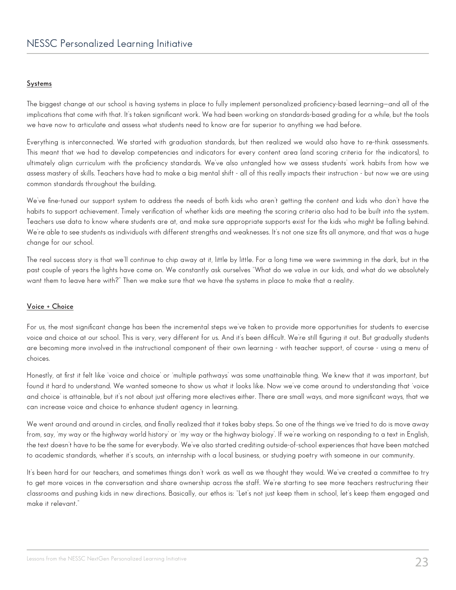#### **Systems**

The biggest change at our school is having systems in place to fully implement personalized proficiency-based learning—and all of the implications that come with that. It's taken significant work. We had been working on standards-based grading for a while, but the tools we have now to articulate and assess what students need to know are far superior to anything we had before.

Everything is interconnected. We started with graduation standards, but then realized we would also have to re-think assessments. This meant that we had to develop competencies and indicators for every content area (and scoring criteria for the indicators), to ultimately align curriculum with the proficiency standards. We've also untangled how we assess students' work habits from how we assess mastery of skills. Teachers have had to make a big mental shift - all of this really impacts their instruction - but now we are using common standards throughout the building.

We've fine-tuned our support system to address the needs of both kids who aren't getting the content and kids who don't have the habits to support achievement. Timely verification of whether kids are meeting the scoring criteria also had to be built into the system. Teachers use data to know where students are at, and make sure appropriate supports exist for the kids who might be falling behind. We're able to see students as individuals with different strengths and weaknesses. It's not one size fits all anymore, and that was a huge change for our school.

The real success story is that we'll continue to chip away at it, little by little. For a long time we were swimming in the dark, but in the past couple of years the lights have come on. We constantly ask ourselves "What do we value in our kids, and what do we absolutely want them to leave here with?" Then we make sure that we have the systems in place to make that a reality.

#### **Voice + Choice**

For us, the most significant change has been the incremental steps we've taken to provide more opportunities for students to exercise voice and choice at our school. This is very, very different for us. And it's been difficult. We're still figuring it out. But gradually students are becoming more involved in the instructional component of their own learning - with teacher support, of course - using a menu of choices.

Honestly, at first it felt like 'voice and choice' or 'multiple pathways' was some unattainable thing. We knew that it was important, but found it hard to understand. We wanted someone to show us what it looks like. Now we've come around to understanding that 'voice and choice' is attainable, but it's not about just offering more electives either. There are small ways, and more significant ways, that we can increase voice and choice to enhance student agency in learning.

We went around and around in circles, and finally realized that it takes baby steps. So one of the things we've tried to do is move away from, say, 'my way or the highway world history' or 'my way or the highway biology'. If we're working on responding to a text in English, the text doesn't have to be the same for everybody. We've also started crediting outside-of-school experiences that have been matched to academic standards, whether it's scouts, an internship with a local business, or studying poetry with someone in our community.

It's been hard for our teachers, and sometimes things don't work as well as we thought they would. We've created a committee to try to get more voices in the conversation and share ownership across the staff. We're starting to see more teachers restructuring their classrooms and pushing kids in new directions. Basically, our ethos is: "Let's not just keep them in school, let's keep them engaged and make it relevant."